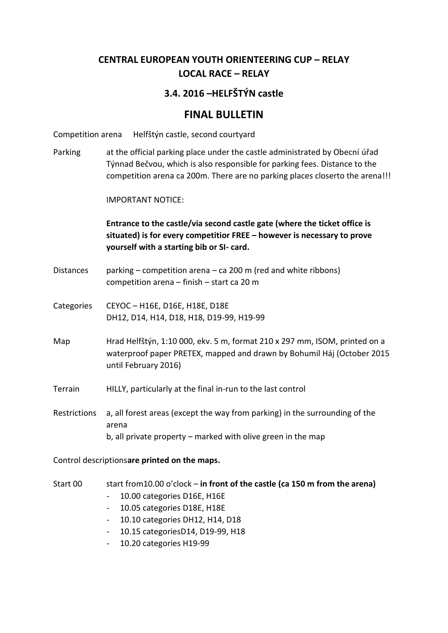# **CENTRAL EUROPEAN YOUTH ORIENTEERING CUP – RELAY LOCAL RACE – RELAY**

## **3.4. 2016 –HELFŠTÝN castle**

# **FINAL BULLETIN**

Competition arena Helfštýn castle, second courtyard

Parking at the official parking place under the castle administrated by Obecní úřad Týnnad Bečvou, which is also responsible for parking fees. Distance to the competition arena ca 200m. There are no parking places closerto the arena!!!

IMPORTANT NOTICE:

**Entrance to the castle/via second castle gate (where the ticket office is situated) is for every competitior FREE – however is necessary to prove yourself with a starting bib or SI- card.** 

- Distances parking competition arena ca 200 m (red and white ribbons) competition arena – finish – start ca 20 m
- Categories CEYOC H16E, D16E, H18E, D18E DH12, D14, H14, D18, H18, D19-99, H19-99
- Map Hrad Helfštýn, 1:10 000, ekv. 5 m, format 210 x 297 mm, ISOM, printed on a waterproof paper PRETEX, mapped and drawn by Bohumil Háj (October 2015 until February 2016)

Terrain HILLY, particularly at the final in-run to the last control

Restrictions a, all forest areas (except the way from parking) in the surrounding of the arena b, all private property – marked with olive green in the map

Control descriptions**are printed on the maps.** 

- Start 00 start from10.00 o'clock **in front of the castle (ca 150 m from the arena)** 
	- 10.00 categories D16E, H16E
	- 10.05 categories D18E, H18E
	- 10.10 categories DH12, H14, D18
	- 10.15 categoriesD14, D19-99, H18
	- 10.20 categories H19-99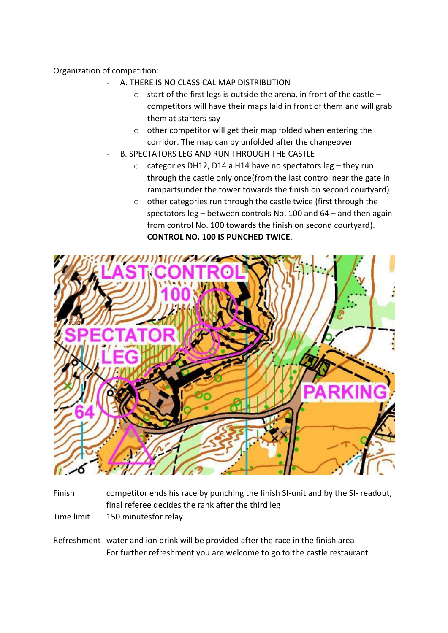### Organization of competition:

- A. THERE IS NO CLASSICAL MAP DISTRIBUTION
	- o start of the first legs is outside the arena, in front of the castle competitors will have their maps laid in front of them and will grab them at starters say
	- o other competitor will get their map folded when entering the corridor. The map can by unfolded after the changeover
- B. SPECTATORS LEG AND RUN THROUGH THE CASTLE
	- $\circ$  categories DH12, D14 a H14 have no spectators leg they run through the castle only once(from the last control near the gate in rampartsunder the tower towards the finish on second courtyard)
	- o other categories run through the castle twice (first through the spectators leg – between controls No. 100 and 64 – and then again from control No. 100 towards the finish on second courtyard). **CONTROL NO. 100 IS PUNCHED TWICE**.



- Finish competitor ends his race by punching the finish SI-unit and by the SI- readout, final referee decides the rank after the third leg
- Time limit 150 minutesfor relay
- Refreshment water and ion drink will be provided after the race in the finish area For further refreshment you are welcome to go to the castle restaurant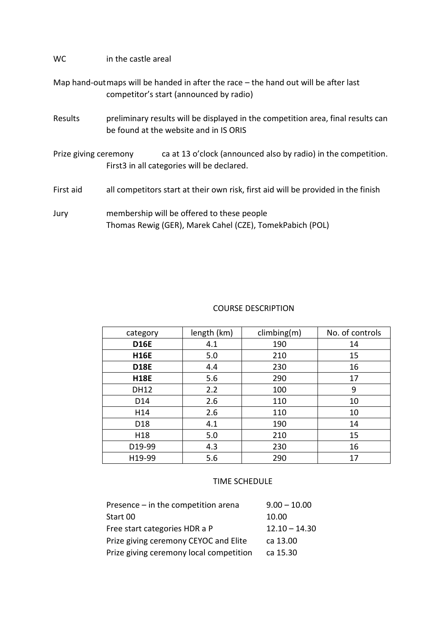### WC in the castle areal

Map hand-outmaps will be handed in after the race – the hand out will be after last competitor's start (announced by radio)

Results preliminary results will be displayed in the competition area, final results can be found at the website and in IS ORIS

Prize giving ceremony ca at 13 o'clock (announced also by radio) in the competition. First3 in all categories will be declared.

First aid all competitors start at their own risk, first aid will be provided in the finish

Jury membership will be offered to these people Thomas Rewig (GER), Marek Cahel (CZE), TomekPabich (POL)

### COURSE DESCRIPTION

| category        | length (km) | climbing(m) | No. of controls |
|-----------------|-------------|-------------|-----------------|
| <b>D16E</b>     | 4.1         | 190         | 14              |
| <b>H16E</b>     | 5.0         | 210         | 15              |
| <b>D18E</b>     | 4.4         | 230         | 16              |
| <b>H18E</b>     | 5.6         | 290         | 17              |
| <b>DH12</b>     | 2.2         | 100         | 9               |
| D14             | 2.6         | 110         | 10              |
| H14             | 2.6         | 110         | 10              |
| D <sub>18</sub> | 4.1         | 190         | 14              |
| H <sub>18</sub> | 5.0         | 210         | 15              |
| D19-99          | 4.3         | 230         | 16              |
| H19-99          | 5.6         | 290         | 17              |

#### TIME SCHEDULE

| Presence - in the competition arena     | $9.00 - 10.00$  |
|-----------------------------------------|-----------------|
| Start 00                                | 10.00           |
| Free start categories HDR a P           | $12.10 - 14.30$ |
| Prize giving ceremony CEYOC and Elite   | ca 13.00        |
| Prize giving ceremony local competition | ca 15.30        |